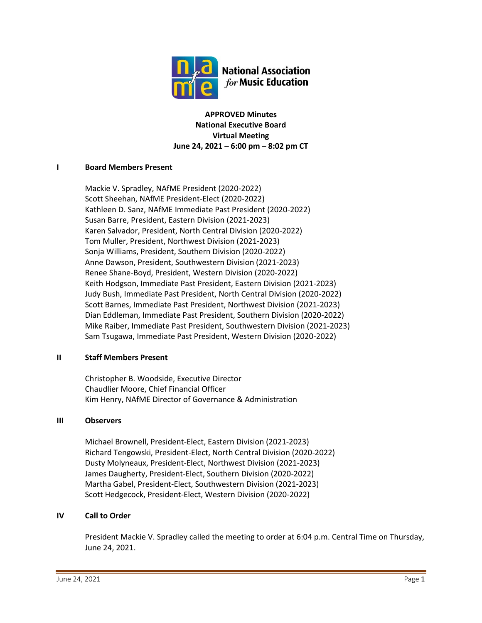

**APPROVED Minutes National Executive Board Virtual Meeting June 24, 2021 – 6:00 pm – 8:02 pm CT**

## **I Board Members Present**

Mackie V. Spradley, NAfME President (2020-2022) Scott Sheehan, NAfME President-Elect (2020-2022) Kathleen D. Sanz, NAfME Immediate Past President (2020-2022) Susan Barre, President, Eastern Division (2021-2023) Karen Salvador, President, North Central Division (2020-2022) Tom Muller, President, Northwest Division (2021-2023) Sonja Williams, President, Southern Division (2020-2022) Anne Dawson, President, Southwestern Division (2021-2023) Renee Shane-Boyd, President, Western Division (2020-2022) Keith Hodgson, Immediate Past President, Eastern Division (2021-2023) Judy Bush, Immediate Past President, North Central Division (2020-2022) Scott Barnes, Immediate Past President, Northwest Division (2021-2023) Dian Eddleman, Immediate Past President, Southern Division (2020-2022) Mike Raiber, Immediate Past President, Southwestern Division (2021-2023) Sam Tsugawa, Immediate Past President, Western Division (2020-2022)

## **II Staff Members Present**

Christopher B. Woodside, Executive Director Chaudlier Moore, Chief Financial Officer Kim Henry, NAfME Director of Governance & Administration

## **III Observers**

Michael Brownell, President-Elect, Eastern Division (2021-2023) Richard Tengowski, President-Elect, North Central Division (2020-2022) Dusty Molyneaux, President-Elect, Northwest Division (2021-2023) James Daugherty, President-Elect, Southern Division (2020-2022) Martha Gabel, President-Elect, Southwestern Division (2021-2023) Scott Hedgecock, President-Elect, Western Division (2020-2022)

## **IV Call to Order**

President Mackie V. Spradley called the meeting to order at 6:04 p.m. Central Time on Thursday, June 24, 2021.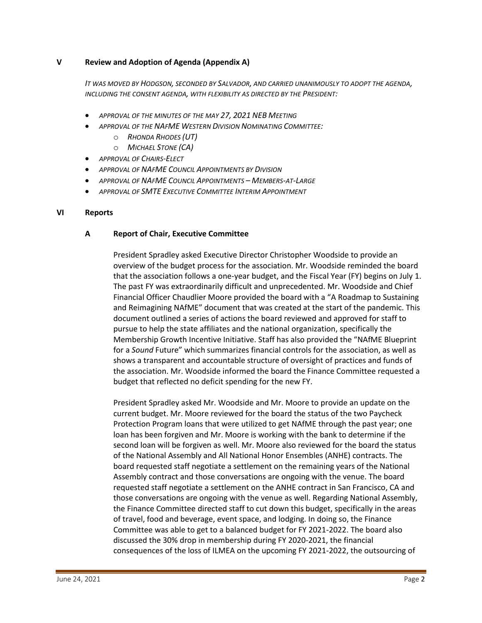## **V Review and Adoption of Agenda (Appendix A)**

*IT WAS MOVED BY HODGSON, SECONDED BY SALVADOR, AND CARRIED UNANIMOUSLY TO ADOPT THE AGENDA, INCLUDING THE CONSENT AGENDA, WITH FLEXIBILITY AS DIRECTED BY THE PRESIDENT:*

- *APPROVAL OF THE MINUTES OF THE MAY 27, 2021 NEB MEETING*
- *APPROVAL OF THE NAFME WESTERN DIVISION NOMINATING COMMITTEE:*
	- o *RHONDA RHODES (UT)*
	- o *MICHAEL STONE (CA)*
- *APPROVAL OF CHAIRS-ELECT*
- *APPROVAL OF NAFME COUNCIL APPOINTMENTS BY DIVISION*
- *APPROVAL OF NAFME COUNCIL APPOINTMENTS – MEMBERS-AT-LARGE*
- *APPROVAL OF SMTE EXECUTIVE COMMITTEE INTERIM APPOINTMENT*

#### **VI Reports**

#### **A Report of Chair, Executive Committee**

President Spradley asked Executive Director Christopher Woodside to provide an overview of the budget process for the association. Mr. Woodside reminded the board that the association follows a one-year budget, and the Fiscal Year (FY) begins on July 1. The past FY was extraordinarily difficult and unprecedented. Mr. Woodside and Chief Financial Officer Chaudlier Moore provided the board with a "A Roadmap to Sustaining and Reimagining NAfME" document that was created at the start of the pandemic. This document outlined a series of actions the board reviewed and approved for staff to pursue to help the state affiliates and the national organization, specifically the Membership Growth Incentive Initiative. Staff has also provided the "NAfME Blueprint for a *Sound* Future" which summarizes financial controls for the association, as well as shows a transparent and accountable structure of oversight of practices and funds of the association. Mr. Woodside informed the board the Finance Committee requested a budget that reflected no deficit spending for the new FY.

President Spradley asked Mr. Woodside and Mr. Moore to provide an update on the current budget. Mr. Moore reviewed for the board the status of the two Paycheck Protection Program loans that were utilized to get NAfME through the past year; one loan has been forgiven and Mr. Moore is working with the bank to determine if the second loan will be forgiven as well. Mr. Moore also reviewed for the board the status of the National Assembly and All National Honor Ensembles (ANHE) contracts. The board requested staff negotiate a settlement on the remaining years of the National Assembly contract and those conversations are ongoing with the venue. The board requested staff negotiate a settlement on the ANHE contract in San Francisco, CA and those conversations are ongoing with the venue as well. Regarding National Assembly, the Finance Committee directed staff to cut down this budget, specifically in the areas of travel, food and beverage, event space, and lodging. In doing so, the Finance Committee was able to get to a balanced budget for FY 2021-2022. The board also discussed the 30% drop in membership during FY 2020-2021, the financial consequences of the loss of ILMEA on the upcoming FY 2021-2022, the outsourcing of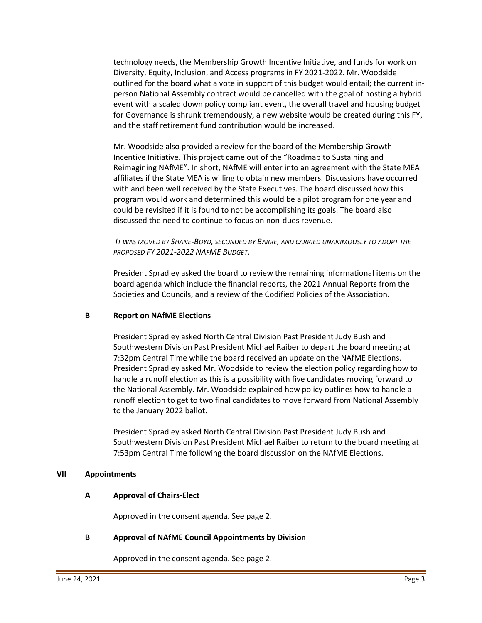technology needs, the Membership Growth Incentive Initiative, and funds for work on Diversity, Equity, Inclusion, and Access programs in FY 2021-2022. Mr. Woodside outlined for the board what a vote in support of this budget would entail; the current inperson National Assembly contract would be cancelled with the goal of hosting a hybrid event with a scaled down policy compliant event, the overall travel and housing budget for Governance is shrunk tremendously, a new website would be created during this FY, and the staff retirement fund contribution would be increased.

Mr. Woodside also provided a review for the board of the Membership Growth Incentive Initiative. This project came out of the "Roadmap to Sustaining and Reimagining NAfME". In short, NAfME will enter into an agreement with the State MEA affiliates if the State MEA is willing to obtain new members. Discussions have occurred with and been well received by the State Executives. The board discussed how this program would work and determined this would be a pilot program for one year and could be revisited if it is found to not be accomplishing its goals. The board also discussed the need to continue to focus on non-dues revenue.

*IT WAS MOVED BY SHANE-BOYD, SECONDED BY BARRE, AND CARRIED UNANIMOUSLY TO ADOPT THE PROPOSED FY 2021-2022 NAFME BUDGET.*

President Spradley asked the board to review the remaining informational items on the board agenda which include the financial reports, the 2021 Annual Reports from the Societies and Councils, and a review of the Codified Policies of the Association.

#### **B Report on NAfME Elections**

President Spradley asked North Central Division Past President Judy Bush and Southwestern Division Past President Michael Raiber to depart the board meeting at 7:32pm Central Time while the board received an update on the NAfME Elections. President Spradley asked Mr. Woodside to review the election policy regarding how to handle a runoff election as this is a possibility with five candidates moving forward to the National Assembly. Mr. Woodside explained how policy outlines how to handle a runoff election to get to two final candidates to move forward from National Assembly to the January 2022 ballot.

President Spradley asked North Central Division Past President Judy Bush and Southwestern Division Past President Michael Raiber to return to the board meeting at 7:53pm Central Time following the board discussion on the NAfME Elections.

#### **VII Appointments**

## **A Approval of Chairs-Elect**

Approved in the consent agenda. See page 2.

## **B Approval of NAfME Council Appointments by Division**

Approved in the consent agenda. See page 2.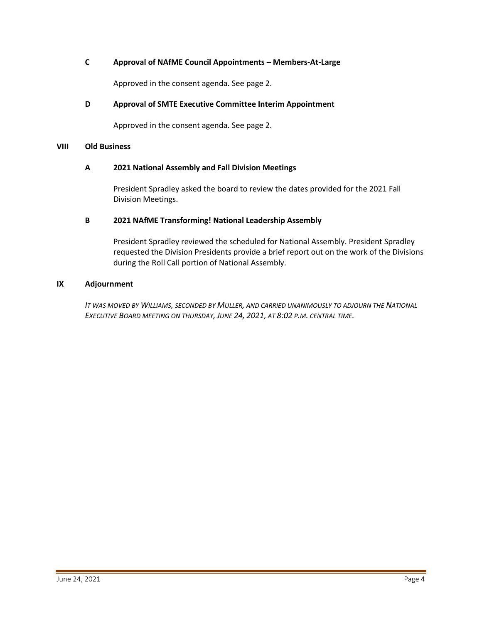# **C Approval of NAfME Council Appointments – Members-At-Large**

Approved in the consent agenda. See page 2.

# **D Approval of SMTE Executive Committee Interim Appointment**

Approved in the consent agenda. See page 2.

#### **VIII Old Business**

## **A 2021 National Assembly and Fall Division Meetings**

President Spradley asked the board to review the dates provided for the 2021 Fall Division Meetings.

# **B 2021 NAfME Transforming! National Leadership Assembly**

President Spradley reviewed the scheduled for National Assembly. President Spradley requested the Division Presidents provide a brief report out on the work of the Divisions during the Roll Call portion of National Assembly.

#### **IX Adjournment**

*IT WAS MOVED BY WILLIAMS, SECONDED BY MULLER, AND CARRIED UNANIMOUSLY TO ADJOURN THE NATIONAL EXECUTIVE BOARD MEETING ON THURSDAY, JUNE 24, 2021, AT 8:02 P.M. CENTRAL TIME.*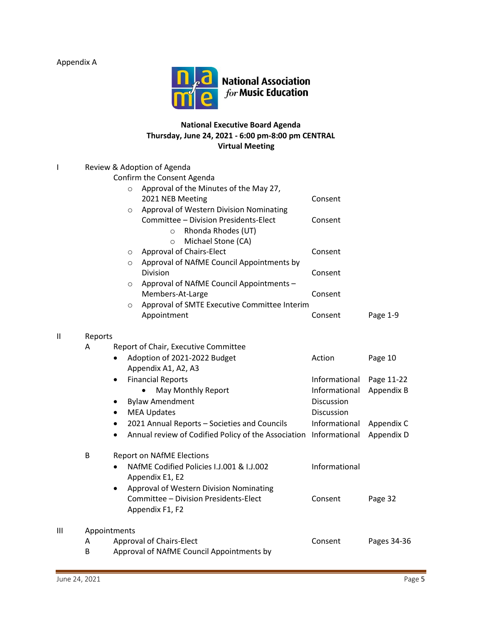Appendix A



# **National Executive Board Agenda Thursday, June 24, 2021 - 6:00 pm-8:00 pm CENTRAL Virtual Meeting**

| I            | Review & Adoption of Agenda |                                                                  |                   |             |  |  |  |
|--------------|-----------------------------|------------------------------------------------------------------|-------------------|-------------|--|--|--|
|              |                             | Confirm the Consent Agenda                                       |                   |             |  |  |  |
|              |                             | Approval of the Minutes of the May 27,<br>$\circ$                |                   |             |  |  |  |
|              |                             | 2021 NEB Meeting                                                 | Consent           |             |  |  |  |
|              |                             | Approval of Western Division Nominating<br>$\circ$               |                   |             |  |  |  |
|              |                             | Committee - Division Presidents-Elect                            | Consent           |             |  |  |  |
|              |                             | Rhonda Rhodes (UT)<br>$\circ$                                    |                   |             |  |  |  |
|              |                             | Michael Stone (CA)<br>$\circ$                                    |                   |             |  |  |  |
|              |                             | <b>Approval of Chairs-Elect</b><br>$\circ$                       | Consent           |             |  |  |  |
|              |                             | Approval of NAfME Council Appointments by<br>$\circ$             |                   |             |  |  |  |
|              |                             | Division                                                         | Consent           |             |  |  |  |
|              |                             | Approval of NAfME Council Appointments -<br>O                    |                   |             |  |  |  |
|              |                             | Members-At-Large                                                 | Consent           |             |  |  |  |
|              |                             | Approval of SMTE Executive Committee Interim<br>$\circ$          |                   |             |  |  |  |
|              |                             | Appointment                                                      | Consent           | Page 1-9    |  |  |  |
|              |                             |                                                                  |                   |             |  |  |  |
| $\mathbf{I}$ | Reports                     |                                                                  |                   |             |  |  |  |
|              | A                           | Report of Chair, Executive Committee                             |                   |             |  |  |  |
|              |                             | Adoption of 2021-2022 Budget                                     | Action            | Page 10     |  |  |  |
|              |                             | Appendix A1, A2, A3                                              |                   |             |  |  |  |
|              |                             | <b>Financial Reports</b>                                         | Informational     | Page 11-22  |  |  |  |
|              |                             | May Monthly Report                                               | Informational     | Appendix B  |  |  |  |
|              |                             | <b>Bylaw Amendment</b><br>$\bullet$                              | <b>Discussion</b> |             |  |  |  |
|              |                             | <b>MEA Updates</b><br>٠                                          | Discussion        |             |  |  |  |
|              |                             | 2021 Annual Reports - Societies and Councils<br>$\bullet$        | Informational     | Appendix C  |  |  |  |
|              |                             | Annual review of Codified Policy of the Association<br>$\bullet$ | Informational     | Appendix D  |  |  |  |
|              | B                           | <b>Report on NAfME Elections</b>                                 |                   |             |  |  |  |
|              |                             | NAfME Codified Policies I.J.001 & I.J.002<br>$\bullet$           | Informational     |             |  |  |  |
|              |                             | Appendix E1, E2                                                  |                   |             |  |  |  |
|              |                             | Approval of Western Division Nominating<br>$\bullet$             |                   |             |  |  |  |
|              |                             | Committee - Division Presidents-Elect                            | Consent           | Page 32     |  |  |  |
|              |                             | Appendix F1, F2                                                  |                   |             |  |  |  |
| Ш            | Appointments                |                                                                  |                   |             |  |  |  |
|              | Α                           | Approval of Chairs-Elect                                         | Consent           | Pages 34-36 |  |  |  |
|              | B                           | Approval of NAfME Council Appointments by                        |                   |             |  |  |  |
|              |                             |                                                                  |                   |             |  |  |  |